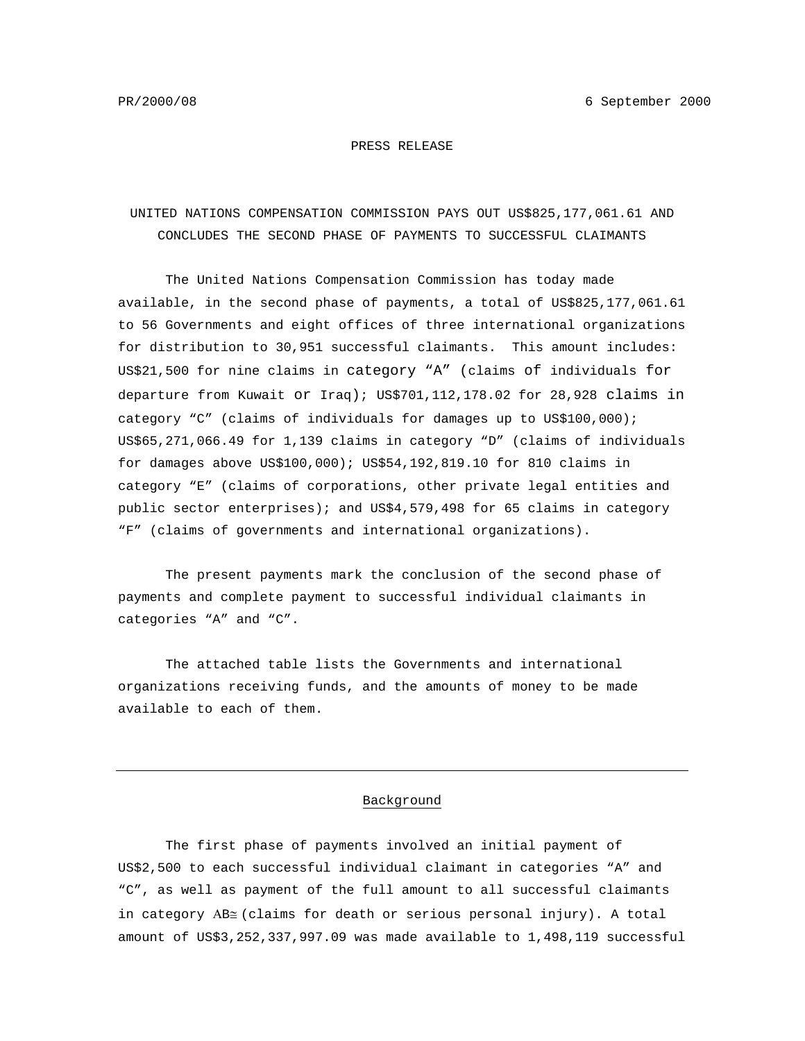#### PRESS RELEASE

# UNITED NATIONS COMPENSATION COMMISSION PAYS OUT US\$825,177,061.61 AND CONCLUDES THE SECOND PHASE OF PAYMENTS TO SUCCESSFUL CLAIMANTS

The United Nations Compensation Commission has today made available, in the second phase of payments, a total of US\$825,177,061.61 to 56 Governments and eight offices of three international organizations for distribution to 30,951 successful claimants. This amount includes: US\$21,500 for nine claims in category "A" (claims of individuals for departure from Kuwait or Iraq); US\$701,112,178.02 for 28,928 claims in category "C" (claims of individuals for damages up to US\$100,000); US\$65,271,066.49 for 1,139 claims in category "D" (claims of individuals for damages above US\$100,000); US\$54,192,819.10 for 810 claims in category "E" (claims of corporations, other private legal entities and public sector enterprises); and US\$4,579,498 for 65 claims in category "F" (claims of governments and international organizations).

The present payments mark the conclusion of the second phase of payments and complete payment to successful individual claimants in categories "A" and "C".

The attached table lists the Governments and international organizations receiving funds, and the amounts of money to be made available to each of them.

### Background

The first phase of payments involved an initial payment of US\$2,500 to each successful individual claimant in categories "A" and "C", as well as payment of the full amount to all successful claimants in category ΑB≅ (claims for death or serious personal injury). A total amount of US\$3,252,337,997.09 was made available to 1,498,119 successful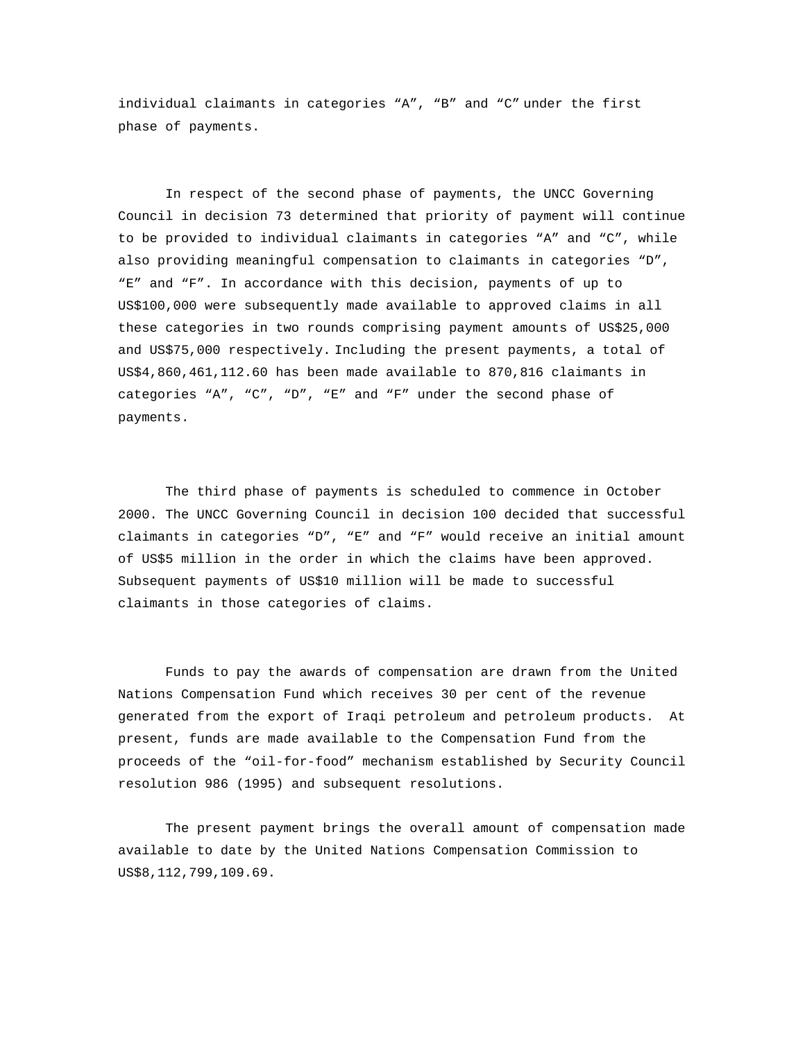individual claimants in categories "A", "B" and "C" under the first phase of payments.

In respect of the second phase of payments, the UNCC Governing Council in decision 73 determined that priority of payment will continue to be provided to individual claimants in categories "A" and "C", while also providing meaningful compensation to claimants in categories "D", "E" and "F". In accordance with this decision, payments of up to US\$100,000 were subsequently made available to approved claims in all these categories in two rounds comprising payment amounts of US\$25,000 and US\$75,000 respectively. Including the present payments, a total of US\$4,860,461,112.60 has been made available to 870,816 claimants in categories "A", "C", "D", "E" and "F" under the second phase of payments.

The third phase of payments is scheduled to commence in October 2000. The UNCC Governing Council in decision 100 decided that successful claimants in categories "D", "E" and "F" would receive an initial amount of US\$5 million in the order in which the claims have been approved. Subsequent payments of US\$10 million will be made to successful claimants in those categories of claims.

Funds to pay the awards of compensation are drawn from the United Nations Compensation Fund which receives 30 per cent of the revenue generated from the export of Iraqi petroleum and petroleum products. At present, funds are made available to the Compensation Fund from the proceeds of the "oil-for-food" mechanism established by Security Council resolution 986 (1995) and subsequent resolutions.

The present payment brings the overall amount of compensation made available to date by the United Nations Compensation Commission to US\$8,112,799,109.69.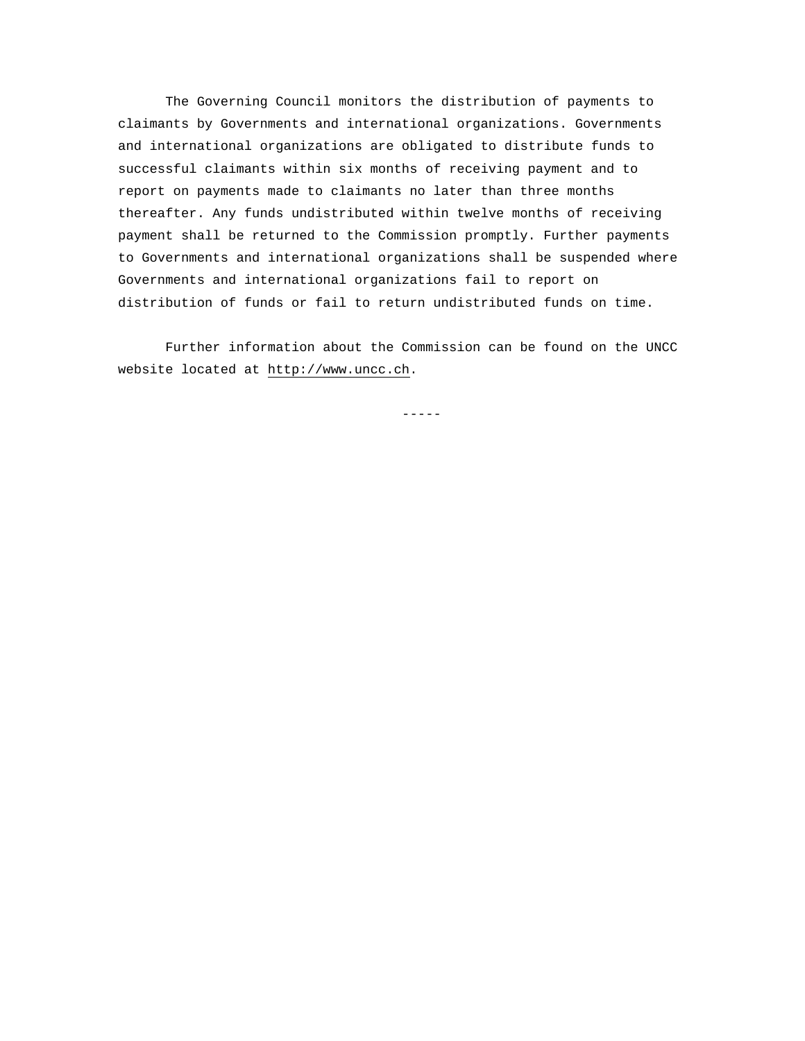The Governing Council monitors the distribution of payments to claimants by Governments and international organizations. Governments and international organizations are obligated to distribute funds to successful claimants within six months of receiving payment and to report on payments made to claimants no later than three months thereafter. Any funds undistributed within twelve months of receiving payment shall be returned to the Commission promptly. Further payments to Governments and international organizations shall be suspended where Governments and international organizations fail to report on distribution of funds or fail to return undistributed funds on time.

Further information about the Commission can be found on the UNCC website located at http://www.uncc.ch.

-----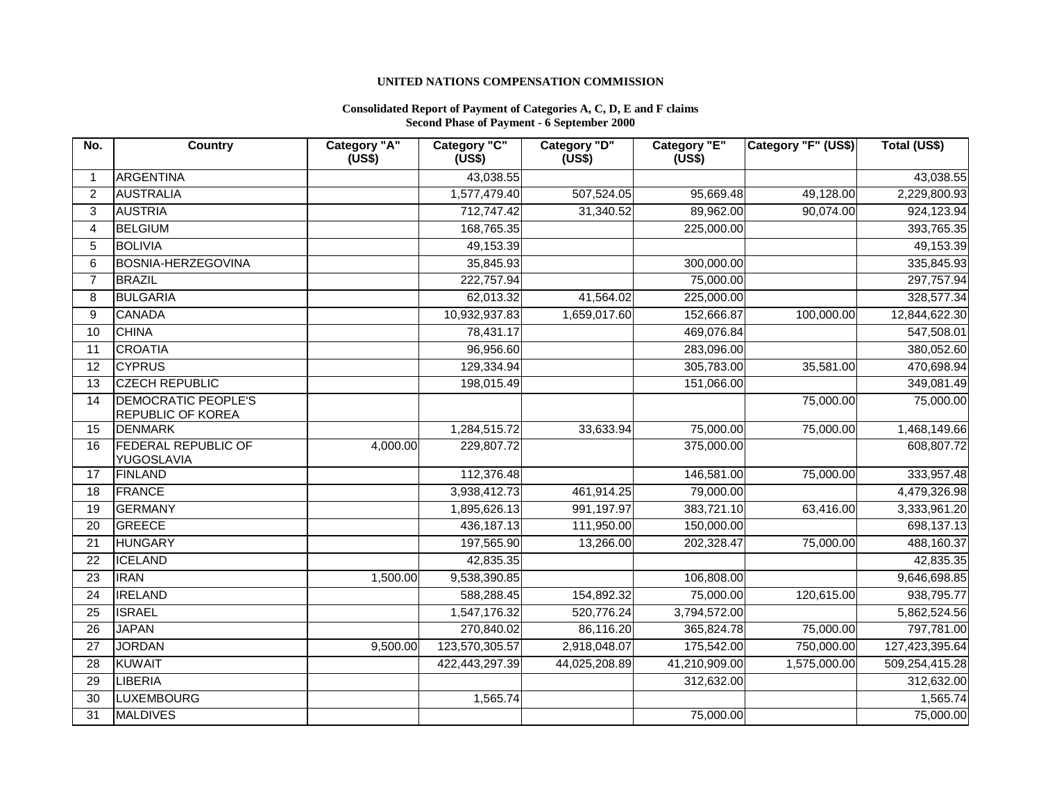## **UNITED NATIONS COMPENSATION COMMISSION**

#### **Consolidated Report of Payment of Categories A, C, D, E and F claims Second Phase of Payment - 6 September 2000**

| No.            | Country                                         | Category "A"<br>(US\$) | Category "C"<br>(US\$) | Category "D"<br>(US\$) | Category "E"<br>(US\$) | Category "F" (US\$) | Total (US\$)   |
|----------------|-------------------------------------------------|------------------------|------------------------|------------------------|------------------------|---------------------|----------------|
| -1             | <b>ARGENTINA</b>                                |                        | 43,038.55              |                        |                        |                     | 43,038.55      |
| $\overline{2}$ | <b>AUSTRALIA</b>                                |                        | 1,577,479.40           | 507,524.05             | 95,669.48              | 49,128.00           | 2,229,800.93   |
| 3              | <b>AUSTRIA</b>                                  |                        | 712,747.42             | 31,340.52              | 89,962.00              | 90,074.00           | 924,123.94     |
| $\overline{4}$ | <b>BELGIUM</b>                                  |                        | 168,765.35             |                        | 225,000.00             |                     | 393,765.35     |
| $\sqrt{5}$     | <b>BOLIVIA</b>                                  |                        | 49,153.39              |                        |                        |                     | 49,153.39      |
| 6              | <b>BOSNIA-HERZEGOVINA</b>                       |                        | 35,845.93              |                        | 300,000.00             |                     | 335,845.93     |
| $\overline{7}$ | <b>BRAZIL</b>                                   |                        | 222,757.94             |                        | 75,000.00              |                     | 297,757.94     |
| 8              | <b>BULGARIA</b>                                 |                        | 62,013.32              | 41,564.02              | 225,000.00             |                     | 328,577.34     |
| 9              | <b>CANADA</b>                                   |                        | 10,932,937.83          | 1,659,017.60           | 152,666.87             | 100,000.00          | 12,844,622.30  |
| 10             | <b>CHINA</b>                                    |                        | 78,431.17              |                        | 469,076.84             |                     | 547,508.01     |
| 11             | <b>CROATIA</b>                                  |                        | 96,956.60              |                        | 283,096.00             |                     | 380,052.60     |
| 12             | <b>CYPRUS</b>                                   |                        | 129,334.94             |                        | 305,783.00             | 35,581.00           | 470,698.94     |
| 13             | <b>CZECH REPUBLIC</b>                           |                        | 198,015.49             |                        | 151,066.00             |                     | 349,081.49     |
| 14             | <b>DEMOCRATIC PEOPLE'S</b><br>REPUBLIC OF KOREA |                        |                        |                        |                        | 75,000.00           | 75,000.00      |
| 15             | <b>DENMARK</b>                                  |                        | 1,284,515.72           | 33,633.94              | 75,000.00              | 75,000.00           | 1,468,149.66   |
| 16             | <b>FEDERAL REPUBLIC OF</b><br>YUGOSLAVIA        | 4,000.00               | 229,807.72             |                        | 375,000.00             |                     | 608,807.72     |
| 17             | <b>FINLAND</b>                                  |                        | 112,376.48             |                        | 146,581.00             | 75,000.00           | 333,957.48     |
| 18             | <b>FRANCE</b>                                   |                        | 3,938,412.73           | 461,914.25             | 79,000.00              |                     | 4,479,326.98   |
| 19             | <b>GERMANY</b>                                  |                        | 1,895,626.13           | 991,197.97             | 383,721.10             | 63,416.00           | 3,333,961.20   |
| 20             | <b>GREECE</b>                                   |                        | 436,187.13             | 111,950.00             | 150,000.00             |                     | 698,137.13     |
| 21             | <b>HUNGARY</b>                                  |                        | 197,565.90             | 13,266.00              | 202,328.47             | 75,000.00           | 488,160.37     |
| 22             | <b>ICELAND</b>                                  |                        | 42,835.35              |                        |                        |                     | 42,835.35      |
| 23             | <b>IRAN</b>                                     | 1,500.00               | 9,538,390.85           |                        | 106,808.00             |                     | 9,646,698.85   |
| 24             | <b>IRELAND</b>                                  |                        | 588,288.45             | 154,892.32             | 75,000.00              | 120,615.00          | 938,795.77     |
| 25             | <b>ISRAEL</b>                                   |                        | 1,547,176.32           | 520,776.24             | 3,794,572.00           |                     | 5,862,524.56   |
| 26             | <b>JAPAN</b>                                    |                        | 270,840.02             | 86,116.20              | 365,824.78             | 75,000.00           | 797,781.00     |
| 27             | <b>JORDAN</b>                                   | 9,500.00               | 123,570,305.57         | 2,918,048.07           | 175,542.00             | 750,000.00          | 127,423,395.64 |
| 28             | <b>KUWAIT</b>                                   |                        | 422,443,297.39         | 44,025,208.89          | 41,210,909.00          | 1,575,000.00        | 509,254,415.28 |
| 29             | <b>LIBERIA</b>                                  |                        |                        |                        | 312,632.00             |                     | 312,632.00     |
| 30             | <b>LUXEMBOURG</b>                               |                        | 1,565.74               |                        |                        |                     | 1,565.74       |
| 31             | <b>MALDIVES</b>                                 |                        |                        |                        | 75,000.00              |                     | 75,000.00      |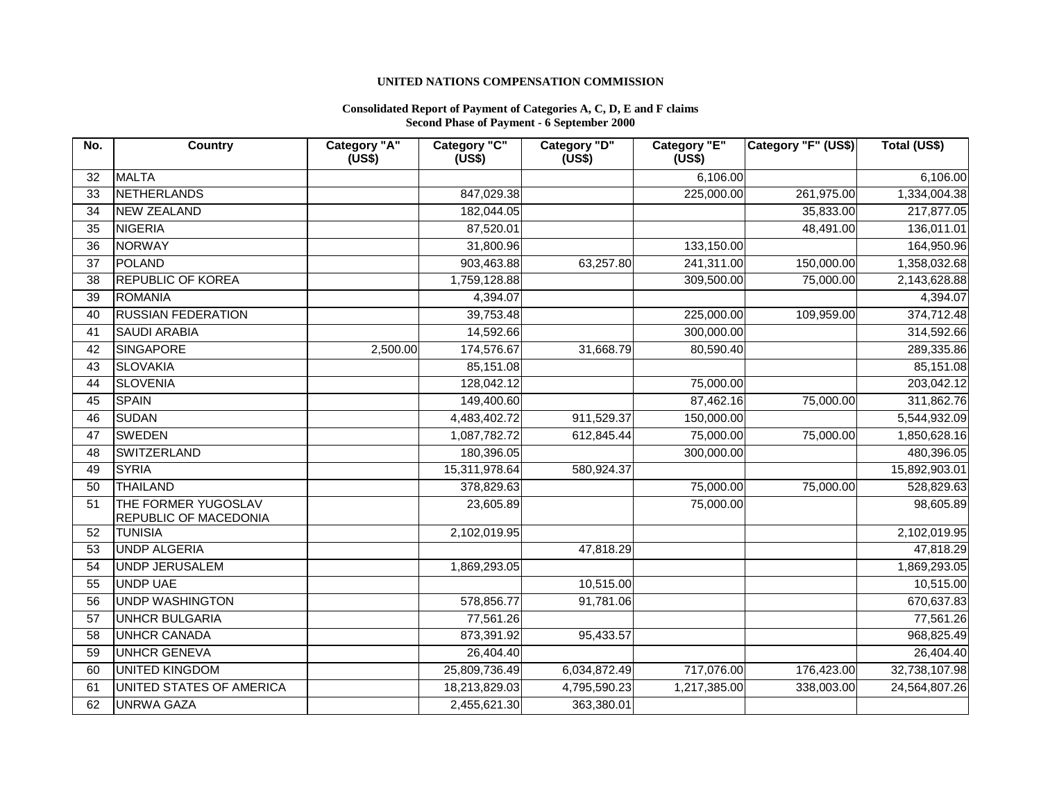## **UNITED NATIONS COMPENSATION COMMISSION**

#### **Consolidated Report of Payment of Categories A, C, D, E and F claims Second Phase of Payment - 6 September 2000**

| No.             | <b>Country</b>                               | Category "A"<br>(US\$) | Category "C"<br>(US\$) | Category "D"<br>(US\$) | <b>Category "E"</b><br>(US\$) | Category "F" (US\$) | Total (US\$)  |
|-----------------|----------------------------------------------|------------------------|------------------------|------------------------|-------------------------------|---------------------|---------------|
| 32              | <b>MALTA</b>                                 |                        |                        |                        | 6,106.00                      |                     | 6,106.00      |
| 33              | NETHERLANDS                                  |                        | 847,029.38             |                        | 225,000.00                    | 261,975.00          | 1,334,004.38  |
| 34              | NEW ZEALAND                                  |                        | 182,044.05             |                        |                               | 35,833.00           | 217,877.05    |
| 35              | <b>NIGERIA</b>                               |                        | 87,520.01              |                        |                               | 48,491.00           | 136,011.01    |
| 36              | NORWAY                                       |                        | 31,800.96              |                        | 133,150.00                    |                     | 164,950.96    |
| 37              | POLAND                                       |                        | 903,463.88             | 63,257.80              | 241,311.00                    | 150,000.00          | 1,358,032.68  |
| 38              | <b>REPUBLIC OF KOREA</b>                     |                        | 1,759,128.88           |                        | 309,500.00                    | 75,000.00           | 2,143,628.88  |
| 39              | <b>ROMANIA</b>                               |                        | 4,394.07               |                        |                               |                     | 4,394.07      |
| 40              | <b>RUSSIAN FEDERATION</b>                    |                        | 39,753.48              |                        | 225,000.00                    | 109,959.00          | 374,712.48    |
| 41              | <b>SAUDI ARABIA</b>                          |                        | 14,592.66              |                        | 300,000.00                    |                     | 314,592.66    |
| 42              | SINGAPORE                                    | 2,500.00               | 174,576.67             | 31,668.79              | 80,590.40                     |                     | 289,335.86    |
| 43              | <b>SLOVAKIA</b>                              |                        | 85,151.08              |                        |                               |                     | 85,151.08     |
| 44              | <b>SLOVENIA</b>                              |                        | 128,042.12             |                        | 75,000.00                     |                     | 203,042.12    |
| 45              | <b>SPAIN</b>                                 |                        | 149,400.60             |                        | 87,462.16                     | 75,000.00           | 311,862.76    |
| 46              | <b>SUDAN</b>                                 |                        | 4,483,402.72           | 911,529.37             | 150,000.00                    |                     | 5,544,932.09  |
| $\overline{47}$ | <b>SWEDEN</b>                                |                        | 1,087,782.72           | 612,845.44             | 75,000.00                     | 75,000.00           | 1,850,628.16  |
| 48              | <b>SWITZERLAND</b>                           |                        | 180,396.05             |                        | 300,000.00                    |                     | 480,396.05    |
| 49              | <b>SYRIA</b>                                 |                        | 15,311,978.64          | 580,924.37             |                               |                     | 15,892,903.01 |
| 50              | THAILAND                                     |                        | 378,829.63             |                        | 75,000.00                     | 75,000.00           | 528,829.63    |
| 51              | THE FORMER YUGOSLAV<br>REPUBLIC OF MACEDONIA |                        | 23,605.89              |                        | 75,000.00                     |                     | 98,605.89     |
| 52              | <b>TUNISIA</b>                               |                        | 2,102,019.95           |                        |                               |                     | 2,102,019.95  |
| 53              | <b>UNDP ALGERIA</b>                          |                        |                        | 47,818.29              |                               |                     | 47,818.29     |
| 54              | UNDP JERUSALEM                               |                        | 1,869,293.05           |                        |                               |                     | 1,869,293.05  |
| 55              | <b>UNDP UAE</b>                              |                        |                        | 10,515.00              |                               |                     | 10,515.00     |
| 56              | <b>UNDP WASHINGTON</b>                       |                        | 578,856.77             | 91,781.06              |                               |                     | 670,637.83    |
| 57              | <b>UNHCR BULGARIA</b>                        |                        | 77,561.26              |                        |                               |                     | 77,561.26     |
| 58              | <b>UNHCR CANADA</b>                          |                        | 873,391.92             | 95,433.57              |                               |                     | 968,825.49    |
| 59              | <b>UNHCR GENEVA</b>                          |                        | 26,404.40              |                        |                               |                     | 26,404.40     |
| 60              | UNITED KINGDOM                               |                        | 25,809,736.49          | 6,034,872.49           | 717,076.00                    | 176,423.00          | 32,738,107.98 |
| 61              | UNITED STATES OF AMERICA                     |                        | 18,213,829.03          | 4,795,590.23           | 1,217,385.00                  | 338,003.00          | 24,564,807.26 |
| 62              | <b>UNRWA GAZA</b>                            |                        | 2,455,621.30           | 363,380.01             |                               |                     |               |